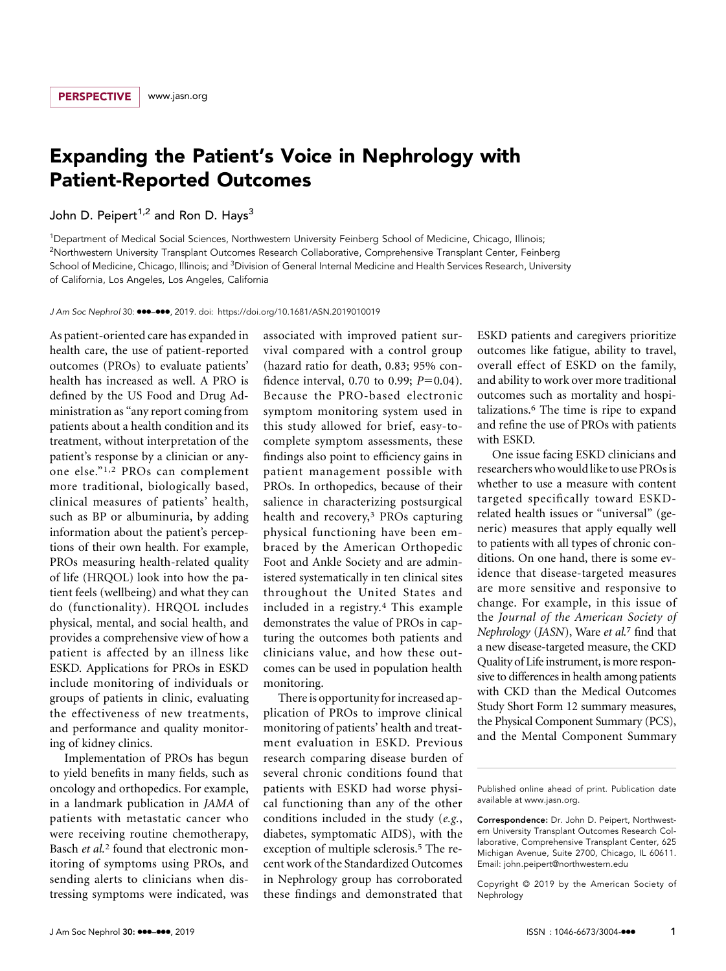## Expanding the Patient's Voice in Nephrology with Patient-Reported Outcomes

John D. Peipert<sup> $1,2$ </sup> and Ron D. Hays<sup>3</sup>

1 Department of Medical Social Sciences, Northwestern University Feinberg School of Medicine, Chicago, Illinois; 2 Northwestern University Transplant Outcomes Research Collaborative, Comprehensive Transplant Center, Feinberg School of Medicine, Chicago, Illinois; and <sup>3</sup>Division of General Internal Medicine and Health Services Research, University of California, Los Angeles, Los Angeles, California

J Am Soc Nephrol 30:  $\text{e}\text{-}\text{e}\text{-}$ , 2019. doi:<https://doi.org/10.1681/ASN.2019010019>

As patient-oriented care has expanded in health care, the use of patient-reported outcomes (PROs) to evaluate patients' health has increased as well. A PRO is defined by the US Food and Drug Administration as "any report coming from patients about a health condition and its treatment, without interpretation of the patient's response by a clinician or anyone else."1,2 PROs can complement more traditional, biologically based, clinical measures of patients' health, such as BP or albuminuria, by adding information about the patient's perceptions of their own health. For example, PROs measuring health-related quality of life (HRQOL) look into how the patient feels (wellbeing) and what they can do (functionality). HRQOL includes physical, mental, and social health, and provides a comprehensive view of how a patient is affected by an illness like ESKD. Applications for PROs in ESKD include monitoring of individuals or groups of patients in clinic, evaluating the effectiveness of new treatments, and performance and quality monitoring of kidney clinics.

Implementation of PROs has begun to yield benefits in many fields, such as oncology and orthopedics. For example, in a landmark publication in JAMA of patients with metastatic cancer who were receiving routine chemotherapy, Basch et al.<sup>2</sup> found that electronic monitoring of symptoms using PROs, and sending alerts to clinicians when distressing symptoms were indicated, was associated with improved patient survival compared with a control group (hazard ratio for death, 0.83; 95% confidence interval, 0.70 to 0.99;  $P=0.04$ ). Because the PRO-based electronic symptom monitoring system used in this study allowed for brief, easy-tocomplete symptom assessments, these findings also point to efficiency gains in patient management possible with PROs. In orthopedics, because of their salience in characterizing postsurgical health and recovery,<sup>3</sup> PROs capturing physical functioning have been embraced by the American Orthopedic Foot and Ankle Society and are administered systematically in ten clinical sites throughout the United States and included in a registry.4 This example demonstrates the value of PROs in capturing the outcomes both patients and clinicians value, and how these outcomes can be used in population health monitoring.

There is opportunity for increased application of PROs to improve clinical monitoring of patients' health and treatment evaluation in ESKD. Previous research comparing disease burden of several chronic conditions found that patients with ESKD had worse physical functioning than any of the other conditions included in the study (e.g., diabetes, symptomatic AIDS), with the exception of multiple sclerosis.<sup>5</sup> The recent work of the Standardized Outcomes in Nephrology group has corroborated these findings and demonstrated that ESKD patients and caregivers prioritize outcomes like fatigue, ability to travel, overall effect of ESKD on the family, and ability to work over more traditional outcomes such as mortality and hospitalizations.6 The time is ripe to expand and refine the use of PROs with patients with ESKD.

One issue facing ESKD clinicians and researchers whowould like to use PROs is whether to use a measure with content targeted specifically toward ESKDrelated health issues or "universal" (generic) measures that apply equally well to patients with all types of chronic conditions. On one hand, there is some evidence that disease-targeted measures are more sensitive and responsive to change. For example, in this issue of the Journal of the American Society of Nephrology (JASN), Ware et al.<sup>7</sup> find that a new disease-targeted measure, the CKD Quality of Life instrument, is more responsive to differences in health among patients with CKD than the Medical Outcomes Study Short Form 12 summary measures, the Physical Component Summary (PCS), and the Mental Component Summary

Copyright © 2019 by the American Society of Nephrology

Published online ahead of print. Publication date available at [www.jasn.org.](http://www.jasn.org)

Correspondence: Dr. John D. Peipert, Northwestern University Transplant Outcomes Research Collaborative, Comprehensive Transplant Center, 625 Michigan Avenue, Suite 2700, Chicago, IL 60611. Email: [john.peipert@northwestern.edu](mailto:john.peipert@northwestern.edu)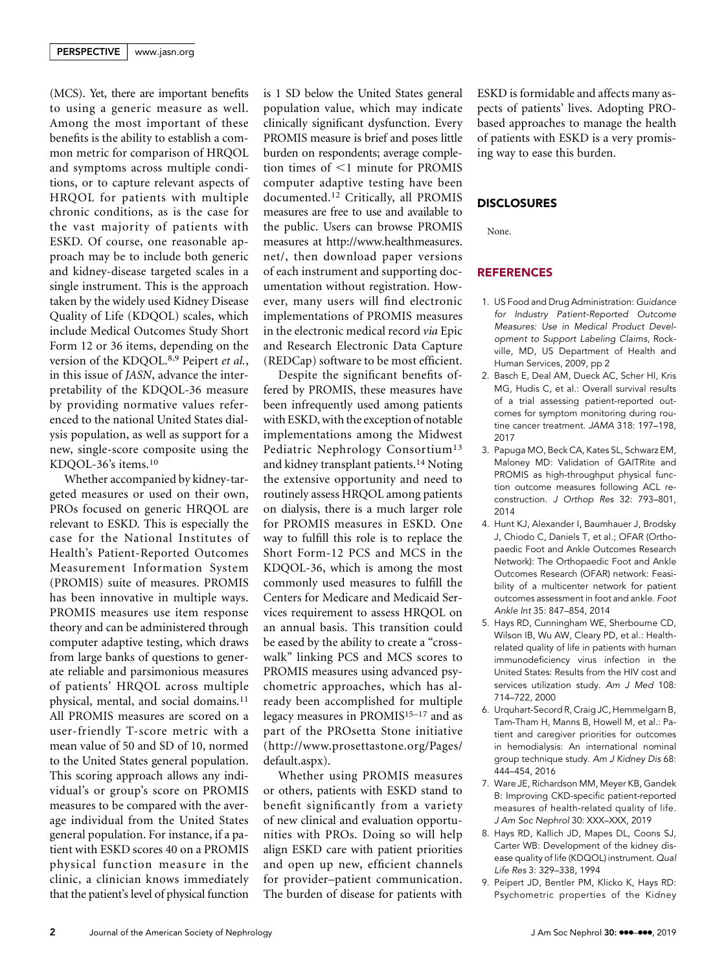(MCS). Yet, there are important benefits to using a generic measure as well. Among the most important of these benefits is the ability to establish a common metric for comparison of HRQOL and symptoms across multiple conditions, or to capture relevant aspects of HRQOL for patients with multiple chronic conditions, as is the case for the vast majority of patients with ESKD. Of course, one reasonable approach may be to include both generic and kidney-disease targeted scales in a single instrument. This is the approach taken by the widely used Kidney Disease Quality of Life (KDQOL) scales, which include Medical Outcomes Study Short Form 12 or 36 items, depending on the version of the KDQOL.8,9 Peipert et al., in this issue of JASN, advance the interpretability of the KDQOL-36 measure by providing normative values referenced to the national United States dialysis population, as well as support for a new, single-score composite using the KDQOL-36's items.10

Whether accompanied by kidney-targeted measures or used on their own, PROs focused on generic HRQOL are relevant to ESKD. This is especially the case for the National Institutes of Health's Patient-Reported Outcomes Measurement Information System (PROMIS) suite of measures. PROMIS has been innovative in multiple ways. PROMIS measures use item response theory and can be administered through computer adaptive testing, which draws from large banks of questions to generate reliable and parsimonious measures of patients' HRQOL across multiple physical, mental, and social domains.11 All PROMIS measures are scored on a user-friendly T-score metric with a mean value of 50 and SD of 10, normed to the United States general population. This scoring approach allows any individual's or group's score on PROMIS measures to be compared with the average individual from the United States general population. For instance, if a patient with ESKD scores 40 on a PROMIS physical function measure in the clinic, a clinician knows immediately that the patient's level of physical function is 1 SD below the United States general population value, which may indicate clinically significant dysfunction. Every PROMIS measure is brief and poses little burden on respondents; average completion times of  $\leq$ 1 minute for PROMIS computer adaptive testing have been documented.12 Critically, all PROMIS measures are free to use and available to the public. Users can browse PROMIS measures at [http://www.healthmeasures.](http://www.healthmeasures.net/) [net/,](http://www.healthmeasures.net/) then download paper versions of each instrument and supporting documentation without registration. However, many users will find electronic implementations of PROMIS measures in the electronic medical record via Epic and Research Electronic Data Capture (REDCap) software to be most efficient.

Despite the significant benefits offered by PROMIS, these measures have been infrequently used among patients with ESKD, with the exception of notable implementations among the Midwest Pediatric Nephrology Consortium<sup>13</sup> and kidney transplant patients.14 Noting the extensive opportunity and need to routinely assess HRQOL among patients on dialysis, there is a much larger role for PROMIS measures in ESKD. One way to fulfill this role is to replace the Short Form-12 PCS and MCS in the KDQOL-36, which is among the most commonly used measures to fulfill the Centers for Medicare and Medicaid Services requirement to assess HRQOL on an annual basis. This transition could be eased by the ability to create a "crosswalk" linking PCS and MCS scores to PROMIS measures using advanced psychometric approaches, which has already been accomplished for multiple legacy measures in PROMIS<sup>15-17</sup> and as part of the PROsetta Stone initiative ([http://www.prosettastone.org/Pages/](http://www.prosettastone.org/Pages/default.aspx) [default.aspx](http://www.prosettastone.org/Pages/default.aspx)).

Whether using PROMIS measures or others, patients with ESKD stand to benefit significantly from a variety of new clinical and evaluation opportunities with PROs. Doing so will help align ESKD care with patient priorities and open up new, efficient channels for provider–patient communication. The burden of disease for patients with

ESKD is formidable and affects many aspects of patients' lives. Adopting PRObased approaches to manage the health of patients with ESKD is a very promising way to ease this burden.

## DISCLOSURES

None.

## REFERENCES

- 1. US Food and Drug Administration: Guidance for Industry Patient-Reported Outcome Measures: Use in Medical Product Development to Support Labeling Claims, Rockville, MD, US Department of Health and Human Services, 2009, pp 2
- 2. Basch E, Deal AM, Dueck AC, Scher HI, Kris MG, Hudis C, et al.: Overall survival results of a trial assessing patient-reported outcomes for symptom monitoring during routine cancer treatment. JAMA 318: 197–198, 2017
- 3. Papuga MO, Beck CA, Kates SL, Schwarz EM, Maloney MD: Validation of GAITRite and PROMIS as high-throughput physical function outcome measures following ACL reconstruction. J Orthop Res 32: 793–801, 2014
- 4. Hunt KJ, Alexander I, Baumhauer J, Brodsky J, Chiodo C, Daniels T, et al.; OFAR (Orthopaedic Foot and Ankle Outcomes Research Network): The Orthopaedic Foot and Ankle Outcomes Research (OFAR) network: Feasibility of a multicenter network for patient outcomes assessment in foot and ankle. Foot Ankle Int 35: 847–854, 2014
- 5. Hays RD, Cunningham WE, Sherbourne CD, Wilson IB, Wu AW, Cleary PD, et al.: Healthrelated quality of life in patients with human immunodeficiency virus infection in the United States: Results from the HIV cost and services utilization study. Am J Med 108: 714–722, 2000
- 6. Urquhart-Secord R, Craig JC, Hemmelgarn B, Tam-Tham H, Manns B, Howell M, et al.: Patient and caregiver priorities for outcomes in hemodialysis: An international nominal group technique study. Am J Kidney Dis 68: 444–454, 2016
- 7. Ware JE, Richardson MM, Meyer KB, Gandek B: Improving CKD-specific patient-reported measures of health-related quality of life. J Am Soc Nephrol 30: XXX–XXX, 2019
- 8. Hays RD, Kallich JD, Mapes DL, Coons SJ, Carter WB: Development of the kidney disease quality of life (KDQOL) instrument. Qual Life Res 3: 329–338, 1994
- 9. Peipert JD, Bentler PM, Klicko K, Hays RD: Psychometric properties of the Kidney